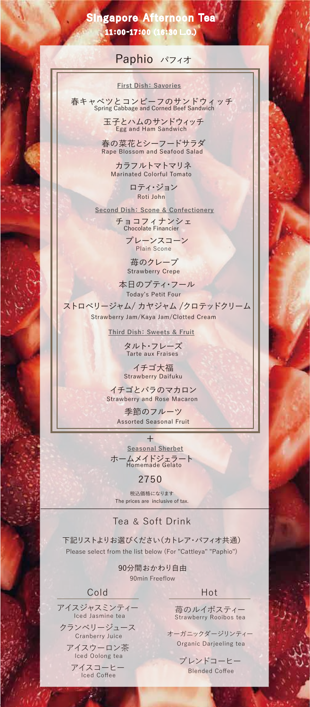# 11:00-17:00(16:30 L.O.) Singapore Afternoon Tea

# Paphio パフィオ

#### **First Dish: Savories**

春キャベツとコンビーフのサンドウィッチ Spring Cabbage and Corned Beef Sandwich

> 玉子とハムのサンドウィッチ Egg and Ham Sandwich

春の菜花とシーフードサラダ Rape Blossom and Seafood Salad

カラフルトマトマリネ Marinated Colorful Tomato

> ロティ・ジョン Roti John

**Second Dish: Scone & Confectionery**

チョコフィナンシェ Chocolate Financier

プレーンスコーン Plain Scone

苺のクレープ Strawberry Crepe

本日のプティ・フール Today's Petit Four

ストロベリージャム/ カヤジャム /クロテッドクリーム Strawberry Jam/Kaya Jam/Clotted Cream

**Third Dish:Sweets & Fruit**

タルト・フレーズ Tarte aux Fraises

イチゴ大福 Strawberry Daifuku

イチゴとバラのマカロン Strawberry and Rose Macaron

> 季節のフルーツ Assorted Seasonal Fruit

ホームメイドジェラート Homemade Gelato **Seasonal Sherbet** +

## 2750

The prices are inclusive of tax. 税込価格になります

### Tea & Soft Drink

下記リストよりお選びください(カトレア・パフィオ共通) Please select from the list below (For "Cattleya" "Paphio")

> 90分間おかわり自由 90min Freeflow

### Cold Hot

アイスジャスミンティー Iced Jasmine tea

クランベリージュース Cranberry Juice

アイスウーロン茶 Iced Oolong tea

アイスコーヒー Iced Coffee

 $\mathcal{L}$ 

苺のルイボスティー Strawberry Rooibos tea

オーガニックダージリンティー Organic Darjeeling tea

> ブレンドコーヒー Blended Coffee